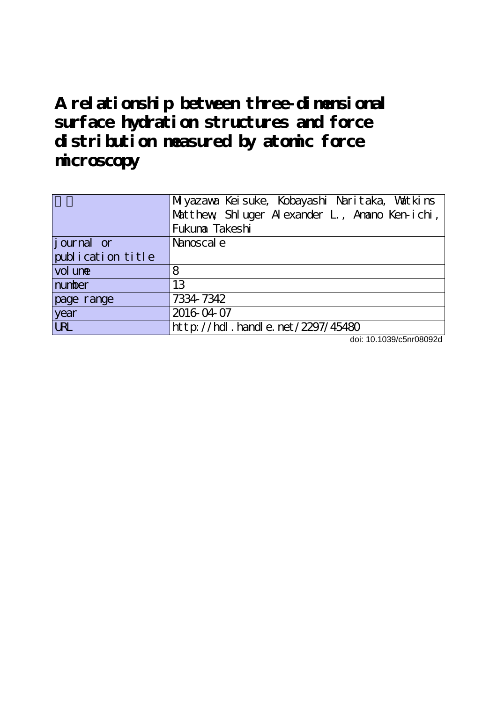**A relationship between three-dimensional surface hydration structures and force distribution measured by atomic force microscopy**

|                   | Miyazawa Keisuke, Kobayashi Naritaka, Vatkins |
|-------------------|-----------------------------------------------|
|                   | Matthew Shluger Alexander L, Anano Ken-ichi,  |
|                   | Fukuna Takeshi                                |
| journal or        | Nanoscal e                                    |
| publication title |                                               |
| vol une           | 8                                             |
| number            | 13                                            |
| page range        | 7334-7342                                     |
| year              | 2016-04-07                                    |
| <b>LRL</b>        | http://hdl.handle.net/2297/45480              |

doi: 10.1039/c5nr08092d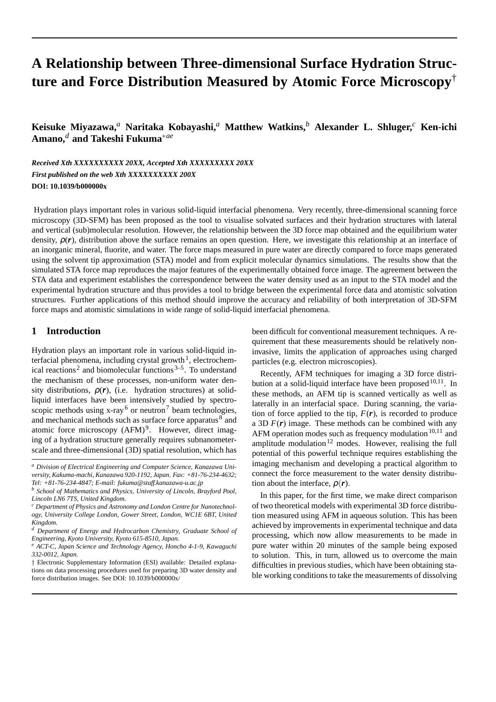# **A Relationship between Three-dimensional Surface Hydration Structure and Force Distribution Measured by Atomic Force Microscopy**†

**Keisuke Miyazawa,***<sup>a</sup>* **Naritaka Kobayashi,***<sup>a</sup>* **Matthew Watkins,***<sup>b</sup>* **Alexander L. Shluger,***<sup>c</sup>* **Ken-ichi Amano,***<sup>d</sup>* **and Takeshi Fukuma***∗ae*

*Received Xth XXXXXXXXXX 20XX, Accepted Xth XXXXXXXXX 20XX First published on the web Xth XXXXXXXXXX 200X* **DOI: 10.1039/b000000x**

Hydration plays important roles in various solid-liquid interfacial phenomena. Very recently, three-dimensional scanning force microscopy (3D-SFM) has been proposed as the tool to visualise solvated surfaces and their hydration structures with lateral and vertical (sub)molecular resolution. However, the relationship between the 3D force map obtained and the equilibrium water density,  $\rho(r)$ , distribution above the surface remains an open question. Here, we investigate this relationship at an interface of an inorganic mineral, fluorite, and water. The force maps measured in pure water are directly compared to force maps generated using the solvent tip approximation (STA) model and from explicit molecular dynamics simulations. The results show that the simulated STA force map reproduces the major features of the experimentally obtained force image. The agreement between the STA data and experiment establishes the correspondence between the water density used as an input to the STA model and the experimental hydration structure and thus provides a tool to bridge between the experimental force data and atomistic solvation structures. Further applications of this method should improve the accuracy and reliability of both interpretation of 3D-SFM force maps and atomistic simulations in wide range of solid-liquid interfacial phenomena.

# **1 Introduction**

Hydration plays an important role in various solid-liquid interfacial phenomena, including crystal growth<sup>1</sup>, electrochemical reactions<sup>2</sup> and biomolecular functions<sup>3–5</sup>. To understand the mechanism of these processes, non-uniform water density distributions,  $\rho(r)$ , (i.e. hydration structures) at solidliquid interfaces have been intensively studied by spectroscopic methods using  $x$ -ray<sup>6</sup> or neutron<sup>7</sup> beam technologies, and mechanical methods such as surface force apparatus<sup>8</sup> and atomic force microscopy (AFM)<sup>9</sup>. However, direct imaging of a hydration structure generally requires subnanometerscale and three-dimensional (3D) spatial resolution, which has been difficult for conventional measurement techniques. A requirement that these measurements should be relatively noninvasive, limits the application of approaches using charged particles (e.g. electron microscopies).

Recently, AFM techniques for imaging a 3D force distribution at a solid-liquid interface have been proposed  $10,11$ . In these methods, an AFM tip is scanned vertically as well as laterally in an interfacial space. During scanning, the variation of force applied to the tip,  $F(r)$ , is recorded to produce a 3D  $F(r)$  image. These methods can be combined with any AFM operation modes such as frequency modulation $10,11$  and amplitude modulation<sup>12</sup> modes. However, realising the full potential of this powerful technique requires establishing the imaging mechanism and developing a practical algorithm to connect the force measurement to the water density distribution about the interface,  $\rho(r)$ .

In this paper, for the first time, we make direct comparison of two theoretical models with experimental 3D force distribution measured using AFM in aqueous solution. This has been achieved by improvements in experimental technique and data processing, which now allow measurements to be made in pure water within 20 minutes of the sample being exposed to solution. This, in turn, allowed us to overcome the main difficulties in previous studies, which have been obtaining stable working conditions to take the measurements of dissolving

*<sup>a</sup> Division of Electrical Engineering and Computer Science, Kanazawa University, Kakuma-machi, Kanazawa 920-1192, Japan. Fax: +81-76-234-4632; Tel: +81-76-234-4847; E-mail: fukuma@staff.kanazawa-u.ac.jp*

*<sup>b</sup> School of Mathematics and Physics, University of Lincoln, Brayford Pool, Lincoln LN6 7TS, United Kingdom.*

*<sup>c</sup> Department of Physics and Astronomy and London Centre for Nanotechnology, University College London, Gower Street, London, WC1E 6BT, United Kingdom.*

*<sup>d</sup> Department of Energy and Hydrocarbon Chemistry, Graduate School of Engineering, Kyoto University, Kyoto 615-8510, Japan.*

*<sup>e</sup> ACT-C, Japan Science and Technology Agency, Honcho 4-1-9, Kawaguchi 332-0012, Japan.*

*<sup>†</sup>* Electronic Supplementary Information (ESI) available: Detailed explanations on data processing procedures used for preparing 3D water density and force distribution images. See DOI: 10.1039/b000000x/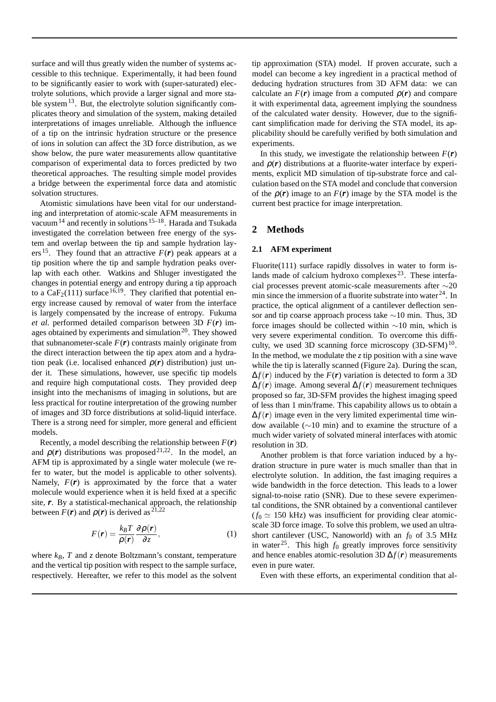surface and will thus greatly widen the number of systems accessible to this technique. Experimentally, it had been found to be significantly easier to work with (super-saturated) electrolyte solutions, which provide a larger signal and more stable system $^{13}$ . But, the electrolyte solution significantly complicates theory and simulation of the system, making detailed interpretations of images unreliable. Although the influence of a tip on the intrinsic hydration structure or the presence of ions in solution can affect the 3D force distribution, as we show below, the pure water measurements allow quantitative comparison of experimental data to forces predicted by two theoretical approaches. The resulting simple model provides a bridge between the experimental force data and atomistic solvation structures.

Atomistic simulations have been vital for our understanding and interpretation of atomic-scale AFM measurements in vacuum<sup>14</sup> and recently in solutions  $15-18$ . Harada and Tsukada investigated the correlation between free energy of the system and overlap between the tip and sample hydration layers <sup>15</sup>. They found that an attractive  $F(r)$  peak appears at a tip position where the tip and sample hydration peaks overlap with each other. Watkins and Shluger investigated the changes in potential energy and entropy during a tip approach to a  $CaF<sub>2</sub>(111)$  surface <sup>16,19</sup>. They clarified that potential energy increase caused by removal of water from the interface is largely compensated by the increase of entropy. Fukuma *et al.* performed detailed comparison between 3D *F*(*r*) images obtained by experiments and simulation<sup>20</sup>. They showed that subnanometer-scale  $F(r)$  contrasts mainly originate from the direct interaction between the tip apex atom and a hydration peak (i.e. localised enhanced  $\rho(r)$  distribution) just under it. These simulations, however, use specific tip models and require high computational costs. They provided deep insight into the mechanisms of imaging in solutions, but are less practical for routine interpretation of the growing number of images and 3D force distributions at solid-liquid interface. There is a strong need for simpler, more general and efficient models.

Recently, a model describing the relationship between *F*(*r*) and  $\rho(r)$  distributions was proposed<sup>21,22</sup>. In the model, an AFM tip is approximated by a single water molecule (we refer to water, but the model is applicable to other solvents). Namely,  $F(r)$  is approximated by the force that a water molecule would experience when it is held fixed at a specific site, *r*. By a statistical-mechanical approach, the relationship between  $F(r)$  and  $\rho(r)$  is derived as <sup>21,22</sup>

$$
F(\mathbf{r}) = \frac{k_B T}{\rho(\mathbf{r})} \frac{\partial \rho(\mathbf{r})}{\partial z},\tag{1}
$$

where  $k_B$ ,  $T$  and  $z$  denote Boltzmann's constant, temperature and the vertical tip position with respect to the sample surface, respectively. Hereafter, we refer to this model as the solvent tip approximation (STA) model. If proven accurate, such a model can become a key ingredient in a practical method of deducing hydration structures from 3D AFM data: we can calculate an  $F(r)$  image from a computed  $\rho(r)$  and compare it with experimental data, agreement implying the soundness of the calculated water density. However, due to the significant simplification made for deriving the STA model, its applicability should be carefully verified by both simulation and experiments.

In this study, we investigate the relationship between  $F(r)$ and  $\rho(r)$  distributions at a fluorite-water interface by experiments, explicit MD simulation of tip-substrate force and calculation based on the STA model and conclude that conversion of the  $\rho(r)$  image to an  $F(r)$  image by the STA model is the current best practice for image interpretation.

# **2 Methods**

#### **2.1 AFM experiment**

Fluorite(111) surface rapidly dissolves in water to form islands made of calcium hydroxo complexes <sup>23</sup>. These interfacial processes prevent atomic-scale measurements after *∼*20 min since the immersion of a fluorite substrate into water  $24$ . In practice, the optical alignment of a cantilever deflection sensor and tip coarse approach process take *∼*10 min. Thus, 3D force images should be collected within *∼*10 min, which is very severe experimental condition. To overcome this difficulty, we used 3D scanning force microscopy  $(3D{\text -}SFM)^{10}$ . In the method, we modulate the *z* tip position with a sine wave while the tip is laterally scanned (Figure 2a). During the scan,  $\Delta f(\mathbf{r})$  induced by the  $F(\mathbf{r})$  variation is detected to form a 3D ∆*f*(*r*) image. Among several ∆*f*(*r*) measurement techniques proposed so far, 3D-SFM provides the highest imaging speed of less than 1 min/frame. This capability allows us to obtain a  $\Delta f(\mathbf{r})$  image even in the very limited experimental time window available (*∼*10 min) and to examine the structure of a much wider variety of solvated mineral interfaces with atomic resolution in 3D.

Another problem is that force variation induced by a hydration structure in pure water is much smaller than that in electrolyte solution. In addition, the fast imaging requires a wide bandwidth in the force detection. This leads to a lower signal-to-noise ratio (SNR). Due to these severe experimental conditions, the SNR obtained by a conventional cantilever  $(f_0 \approx 150 \text{ kHz})$  was insufficient for providing clear atomicscale 3D force image. To solve this problem, we used an ultrashort cantilever (USC, Nanoworld) with an  $f_0$  of 3.5 MHz in water<sup>25</sup>. This high  $f_0$  greatly improves force sensitivity and hence enables atomic-resolution 3D ∆*f*(*r*) measurements even in pure water.

Even with these efforts, an experimental condition that al-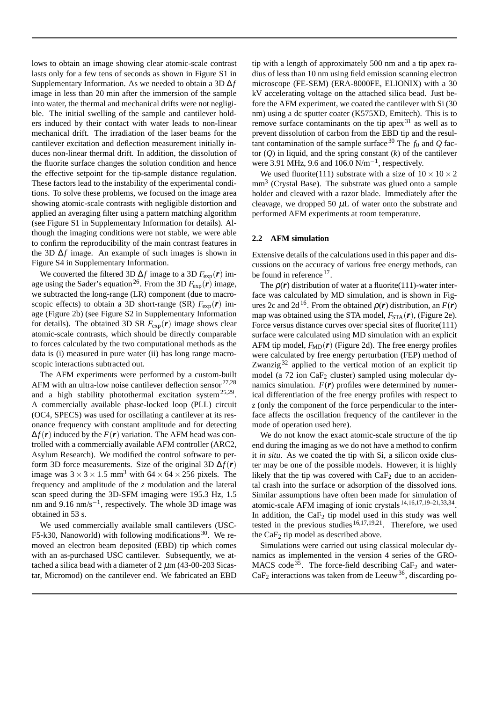lows to obtain an image showing clear atomic-scale contrast lasts only for a few tens of seconds as shown in Figure S1 in Supplementary Information. As we needed to obtain a 3D ∆*f* image in less than 20 min after the immersion of the sample into water, the thermal and mechanical drifts were not negligible. The initial swelling of the sample and cantilever holders induced by their contact with water leads to non-linear mechanical drift. The irradiation of the laser beams for the cantilever excitation and deflection measurement initially induces non-linear thermal drift. In addition, the dissolution of the fluorite surface changes the solution condition and hence the effective setpoint for the tip-sample distance regulation. These factors lead to the instability of the experimental conditions. To solve these problems, we focused on the image area showing atomic-scale contrasts with negligible distortion and applied an averaging filter using a pattern matching algorithm (see Figure S1 in Supplementary Information for details). Although the imaging conditions were not stable, we were able to confirm the reproducibility of the main contrast features in the 3D ∆*f* image. An example of such images is shown in Figure S4 in Supplementary Information.

We converted the filtered 3D  $\Delta f$  image to a 3D  $F_{\text{exp}}(\boldsymbol{r})$  image using the Sader's equation<sup>26</sup>. From the 3D  $F_{\text{exp}}(\boldsymbol{r})$  image, we subtracted the long-range (LR) component (due to macroscopic effects) to obtain a 3D short-range (SR)  $F_{\text{exp}}(r)$  image (Figure 2b) (see Figure S2 in Supplementary Information for details). The obtained 3D SR  $F_{\text{exp}}(\boldsymbol{r})$  image shows clear atomic-scale contrasts, which should be directly comparable to forces calculated by the two computational methods as the data is (i) measured in pure water (ii) has long range macroscopic interactions subtracted out.

The AFM experiments were performed by a custom-built AFM with an ultra-low noise cantilever deflection sensor  $27,28$ and a high stability photothermal excitation system<sup>25,29</sup>. A commercially available phase-locked loop (PLL) circuit (OC4, SPECS) was used for oscillating a cantilever at its resonance frequency with constant amplitude and for detecting  $\Delta f(\mathbf{r})$  induced by the  $F(\mathbf{r})$  variation. The AFM head was controlled with a commercially available AFM controller (ARC2, Asylum Research). We modified the control software to perform 3D force measurements. Size of the original 3D  $\Delta f(\mathbf{r})$ image was  $3 \times 3 \times 1.5$  mm<sup>3</sup> with  $64 \times 64 \times 256$  pixels. The frequency and amplitude of the *z* modulation and the lateral scan speed during the 3D-SFM imaging were 195.3 Hz, 1.5 nm and 9.16 nm/s<sup>-1</sup>, respectively. The whole 3D image was obtained in 53 s.

We used commercially available small cantilevers (USC-F5-k30, Nanoworld) with following modifications  $30$ . We removed an electron beam deposited (EBD) tip which comes with an as-purchased USC cantilever. Subsequently, we attached a silica bead with a diameter of  $2 \mu m$  (43-00-203 Sicastar, Micromod) on the cantilever end. We fabricated an EBD tip with a length of approximately 500 nm and a tip apex radius of less than 10 nm using field emission scanning electron microscope (FE-SEM) (ERA-8000FE, ELIONIX) with a 30 kV accelerating voltage on the attached silica bead. Just before the AFM experiment, we coated the cantilever with Si (30 nm) using a dc sputter coater (K575XD, Emitech). This is to remove surface contaminants on the tip apex<sup>31</sup> as well as to prevent dissolution of carbon from the EBD tip and the resultant contamination of the sample surface  $30$  The  $f_0$  and  $Q$  factor  $(Q)$  in liquid, and the spring constant  $(k)$  of the cantilever were 3.91 MHz, 9.6 and 106.0 N/m*−*<sup>1</sup> , respectively.

We used fluorite(111) substrate with a size of  $10 \times 10 \times 2$ mm<sup>3</sup> (Crystal Base). The substrate was glued onto a sample holder and cleaved with a razor blade. Immediately after the cleavage, we dropped 50  $\mu$ L of water onto the substrate and performed AFM experiments at room temperature.

#### **2.2 AFM simulation**

Extensive details of the calculations used in this paper and discussions on the accuracy of various free energy methods, can be found in reference<sup>17</sup>.

The  $\rho(r)$  distribution of water at a fluorite(111)-water interface was calculated by MD simulation, and is shown in Figures 2c and 2d<sup>16</sup>. From the obtained  $\rho(r)$  distribution, an  $F(r)$ map was obtained using the STA model,  $F_{\text{STA}}(\boldsymbol{r})$ , (Figure 2e). Force versus distance curves over special sites of fluorite(111) surface were calculated using MD simulation with an explicit AFM tip model,  $F_{MD}(r)$  (Figure 2d). The free energy profiles were calculated by free energy perturbation (FEP) method of Zwanzig<sup>32</sup> applied to the vertical motion of an explicit tip model (a 72 ion CaF<sup>2</sup> cluster) sampled using molecular dynamics simulation.  $F(r)$  profiles were determined by numerical differentiation of the free energy profiles with respect to *z* (only the component of the force perpendicular to the interface affects the oscillation frequency of the cantilever in the mode of operation used here).

We do not know the exact atomic-scale structure of the tip end during the imaging as we do not have a method to confirm it *in situ*. As we coated the tip with Si, a silicon oxide cluster may be one of the possible models. However, it is highly likely that the tip was covered with  $CaF<sub>2</sub>$  due to an accidental crash into the surface or adsorption of the dissolved ions. Similar assumptions have often been made for simulation of atomic-scale AFM imaging of ionic crystals<sup>14,16,17,19–21,33,34</sup>. In addition, the  $CaF<sub>2</sub>$  tip model used in this study was well tested in the previous studies 16,17,19,21. Therefore, we used the CaF<sub>2</sub> tip model as described above.

Simulations were carried out using classical molecular dynamics as implemented in the version 4 series of the GRO-MACS code<sup>35</sup>. The force-field describing CaF<sub>2</sub> and water- $CaF<sub>2</sub>$  interactions was taken from de Leeuw<sup>36</sup>, discarding po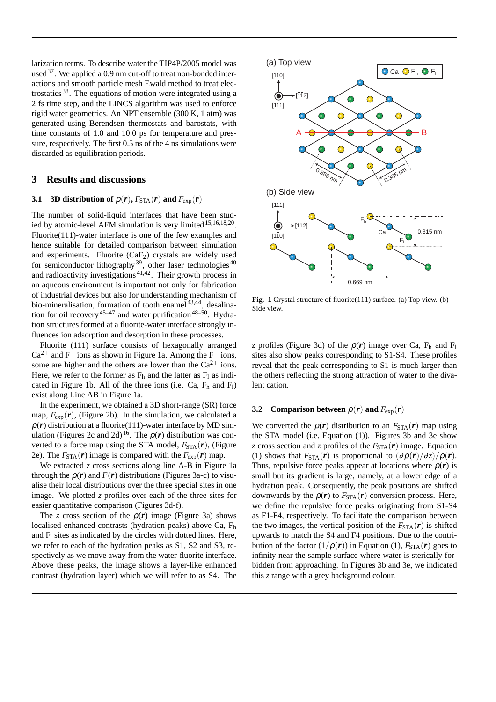larization terms. To describe water the TIP4P/2005 model was used  $37$ . We applied a 0.9 nm cut-off to treat non-bonded interactions and smooth particle mesh Ewald method to treat electrostatics <sup>38</sup>. The equations of motion were integrated using a 2 fs time step, and the LINCS algorithm was used to enforce rigid water geometries. An NPT ensemble (300 K, 1 atm) was generated using Berendsen thermostats and barostats, with time constants of 1.0 and 10.0 ps for temperature and pressure, respectively. The first 0.5 ns of the 4 ns simulations were discarded as equilibration periods.

# **3 Results and discussions**

# **3.1 3D distribution of**  $\rho(r)$ ,  $F_{\text{STA}}(r)$  and  $F_{\text{exp}}(r)$

The number of solid-liquid interfaces that have been studied by atomic-level AFM simulation is very limited<sup>15,16,18,20</sup>. Fluorite(111)-water interface is one of the few examples and hence suitable for detailed comparison between simulation and experiments. Fluorite  $(CaF_2)$  crystals are widely used for semiconductor lithography<sup>39</sup>, other laser technologies<sup>40</sup> and radioactivity investigations  $41,42$ . Their growth process in an aqueous environment is important not only for fabrication of industrial devices but also for understanding mechanism of bio-mineralisation, formation of tooth enamel<sup>43,44</sup>, desalination for oil recovery<sup>45–47</sup> and water purification<sup>48–50</sup>. Hydration structures formed at a fluorite-water interface strongly influences ion adsorption and desorption in these processes.

Fluorite (111) surface consists of hexagonally arranged Ca2<sup>+</sup> and F*<sup>−</sup>* ions as shown in Figure 1a. Among the F*<sup>−</sup>* ions, some are higher and the others are lower than the  $Ca^{2+}$  ions. Here, we refer to the former as  $F_h$  and the latter as  $F_l$  as indicated in Figure 1b. All of the three ions (i.e. Ca,  $F_h$  and  $F_l$ ) exist along Line AB in Figure 1a.

In the experiment, we obtained a 3D short-range (SR) force map,  $F_{\text{exp}}(\boldsymbol{r})$ , (Figure 2b). In the simulation, we calculated a  $\rho(r)$  distribution at a fluorite(111)-water interface by MD simulation (Figures 2c and 2d)<sup>16</sup>. The  $\rho(r)$  distribution was converted to a force map using the STA model,  $F_{\text{STA}}(\boldsymbol{r})$ , (Figure 2e). The  $F_{\text{STA}}(\boldsymbol{r})$  image is compared with the  $F_{\text{exp}}(\boldsymbol{r})$  map.

We extracted *z* cross sections along line A-B in Figure 1a through the  $\rho(r)$  and  $F(r)$  distributions (Figures 3a-c) to visualise their local distributions over the three special sites in one image. We plotted *z* profiles over each of the three sites for easier quantitative comparison (Figures 3d-f).

The *z* cross section of the  $\rho(r)$  image (Figure 3a) shows localised enhanced contrasts (hydration peaks) above Ca, F<sup>h</sup> and  $F<sub>1</sub>$  sites as indicated by the circles with dotted lines. Here, we refer to each of the hydration peaks as S1, S2 and S3, respectively as we move away from the water-fluorite interface. Above these peaks, the image shows a layer-like enhanced contrast (hydration layer) which we will refer to as S4. The



**Fig. 1** Crystal structure of fluorite(111) surface. (a) Top view. (b) Side view.

*z* profiles (Figure 3d) of the  $\rho(r)$  image over Ca, F<sub>h</sub> and F<sub>l</sub> sites also show peaks corresponding to S1-S4. These profiles reveal that the peak corresponding to S1 is much larger than the others reflecting the strong attraction of water to the divalent cation.

#### **3.2** Comparison between  $\rho(r)$  and  $F_{\text{exp}}(r)$

We converted the  $\rho(r)$  distribution to an  $F_{STA}(r)$  map using the STA model (i.e. Equation (1)). Figures 3b and 3e show *z* cross section and *z* profiles of the  $F_{STA}(\mathbf{r})$  image. Equation (1) shows that  $F_{\text{STA}}(\mathbf{r})$  is proportional to  $(\partial \rho(\mathbf{r})/\partial z)/\rho(\mathbf{r})$ . Thus, repulsive force peaks appear at locations where  $\rho(r)$  is small but its gradient is large, namely, at a lower edge of a hydration peak. Consequently, the peak positions are shifted downwards by the  $\rho(r)$  to  $F_{STA}(r)$  conversion process. Here, we define the repulsive force peaks originating from S1-S4 as F1-F4, respectively. To facilitate the comparison between the two images, the vertical position of the  $F_{\text{STA}}(r)$  is shifted upwards to match the S4 and F4 positions. Due to the contribution of the factor  $(1/\rho(r))$  in Equation (1),  $F_{\text{STA}}(r)$  goes to infinity near the sample surface where water is sterically forbidden from approaching. In Figures 3b and 3e, we indicated this *z* range with a grey background colour.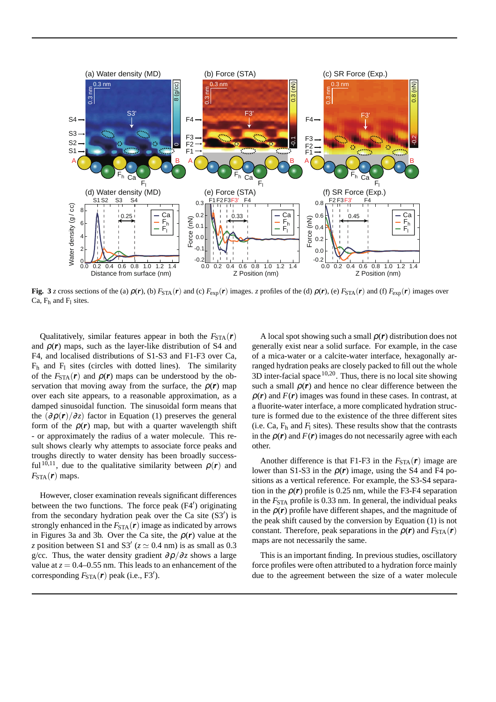

Fig. 3 z cross sections of the (a)  $\rho(r)$ , (b)  $F_{STA}(r)$  and (c)  $F_{exp}(r)$  images. z profiles of the (d)  $\rho(r)$ , (e)  $F_{STA}(r)$  and (f)  $F_{exp}(r)$  images over Ca,  $F_h$  and  $F_l$  sites.

Qualitatively, similar features appear in both the  $F_{STA}(\boldsymbol{r})$ and  $\rho(r)$  maps, such as the layer-like distribution of S4 and F4, and localised distributions of S1-S3 and F1-F3 over Ca,  $F_h$  and  $F_l$  sites (circles with dotted lines). The similarity of the  $F_{\text{STA}}(r)$  and  $\rho(r)$  maps can be understood by the observation that moving away from the surface, the  $\rho(r)$  map over each site appears, to a reasonable approximation, as a damped sinusoidal function. The sinusoidal form means that the  $\left(\frac{\partial \rho(r)}{\partial z}\right)$  factor in Equation (1) preserves the general form of the  $\rho(r)$  map, but with a quarter wavelength shift - or approximately the radius of a water molecule. This result shows clearly why attempts to associate force peaks and troughs directly to water density has been broadly successful<sup>10,11</sup>, due to the qualitative similarity between  $\rho(r)$  and  $F_{\text{STA}}(\boldsymbol{r})$  maps.

However, closer examination reveals significant differences between the two functions. The force peak (F4*′* ) originating from the secondary hydration peak over the Ca site (S3*′* ) is strongly enhanced in the  $F_{\text{STA}}(r)$  image as indicated by arrows in Figures 3a and 3b. Over the Ca site, the  $\rho(r)$  value at the *z* position between S1 and S3<sup>'</sup> ( $z \approx 0.4$  nm) is as small as 0.3 g/cc. Thus, the water density gradient  $\partial \rho / \partial z$  shows a large value at  $z = 0.4 - 0.55$  nm. This leads to an enhancement of the corresponding *F*STA(*r*) peak (i.e., F3*′* ).

A local spot showing such a small  $\rho(r)$  distribution does not generally exist near a solid surface. For example, in the case of a mica-water or a calcite-water interface, hexagonally arranged hydration peaks are closely packed to fill out the whole  $3D$  inter-facial space  $10,20$ . Thus, there is no local site showing such a small  $\rho(r)$  and hence no clear difference between the  $\rho(r)$  and  $F(r)$  images was found in these cases. In contrast, at a fluorite-water interface, a more complicated hydration structure is formed due to the existence of the three different sites (i.e. Ca,  $F_h$  and  $F_l$  sites). These results show that the contrasts in the  $\rho(r)$  and  $F(r)$  images do not necessarily agree with each other.

Another difference is that F1-F3 in the  $F_{STA}(\boldsymbol{r})$  image are lower than S1-S3 in the  $\rho(r)$  image, using the S4 and F4 positions as a vertical reference. For example, the S3-S4 separation in the  $\rho(r)$  profile is 0.25 nm, while the F3-F4 separation in the  $F_{\text{STA}}$  profile is 0.33 nm. In general, the individual peaks in the  $\rho(r)$  profile have different shapes, and the magnitude of the peak shift caused by the conversion by Equation (1) is not constant. Therefore, peak separations in the  $\rho(r)$  and  $F_{\text{STA}}(r)$ maps are not necessarily the same.

This is an important finding. In previous studies, oscillatory force profiles were often attributed to a hydration force mainly due to the agreement between the size of a water molecule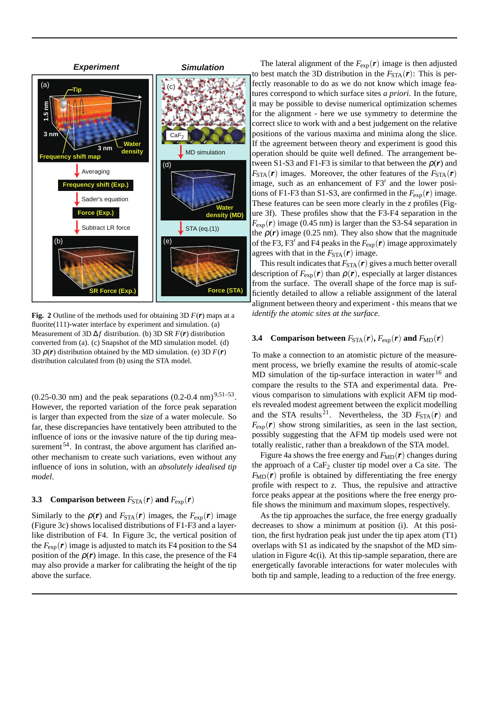

**Fig.** 2 Outline of the methods used for obtaining 3D  $F(r)$  maps at a fluorite(111)-water interface by experiment and simulation. (a) Measurement of 3D ∆*f* distribution. (b) 3D SR *F*(*r*) distribution converted from (a). (c) Snapshot of the MD simulation model. (d) 3D  $\rho(r)$  distribution obtained by the MD simulation. (e) 3D  $F(r)$ distribution calculated from (b) using the STA model.

 $(0.25{\text -}0.30 \text{ nm})$  and the peak separations  $(0.2{\text -}0.4 \text{ nm})^{9,51{\text -}53}$ . However, the reported variation of the force peak separation is larger than expected from the size of a water molecule. So far, these discrepancies have tentatively been attributed to the influence of ions or the invasive nature of the tip during measurement  $54$ . In contrast, the above argument has clarified another mechanism to create such variations, even without any influence of ions in solution, with an *absolutely idealised tip model*.

#### **3.3** Comparison between  $F_{\text{STA}}(r)$  and  $F_{\text{exp}}(r)$

Similarly to the  $\rho(r)$  and  $F_{\text{STA}}(r)$  images, the  $F_{\text{exp}}(r)$  image (Figure 3c) shows localised distributions of F1-F3 and a layerlike distribution of F4. In Figure 3c, the vertical position of the  $F_{\text{exp}}(\boldsymbol{r})$  image is adjusted to match its F4 position to the S4 position of the  $\rho(r)$  image. In this case, the presence of the F4 may also provide a marker for calibrating the height of the tip above the surface.

The lateral alignment of the  $F_{\text{exp}}(r)$  image is then adjusted to best match the 3D distribution in the  $F_{\text{STA}}(\boldsymbol{r})$ : This is perfectly reasonable to do as we do not know which image features correspond to which surface sites *a priori*. In the future, it may be possible to devise numerical optimization schemes for the alignment - here we use symmetry to determine the correct slice to work with and a best judgement on the relative positions of the various maxima and minima along the slice. If the agreement between theory and experiment is good this operation should be quite well defined. The arrangement between S1-S3 and F1-F3 is similar to that between the  $\rho(r)$  and  $F_{\text{STA}}(\boldsymbol{r})$  images. Moreover, the other features of the  $F_{\text{STA}}(\boldsymbol{r})$ image, such as an enhancement of F3*′* and the lower positions of F1-F3 than S1-S3, are confirmed in the  $F_{\text{exp}}(\boldsymbol{r})$  image. These features can be seen more clearly in the *z* profiles (Figure 3f). These profiles show that the F3-F4 separation in the  $F_{\rm exp}(\boldsymbol{r})$  image (0.45 nm) is larger than the S3-S4 separation in the  $\rho(r)$  image (0.25 nm). They also show that the magnitude of the F3, F3*′* and F4 peaks in the *F*exp(*r*) image approximately agrees with that in the  $F_{\text{STA}}(r)$  image.

This result indicates that  $F_{\text{STA}}(r)$  gives a much better overall description of  $F_{\text{exp}}(\boldsymbol{r})$  than  $\rho(\boldsymbol{r})$ , especially at larger distances from the surface. The overall shape of the force map is sufficiently detailed to allow a reliable assignment of the lateral alignment between theory and experiment - this means that we *identify the atomic sites at the surface*.

#### **3.4** Comparison between  $F_{\text{STA}}(r)$ ,  $F_{\text{exp}}(r)$  and  $F_{\text{MD}}(r)$

To make a connection to an atomistic picture of the measurement process, we briefly examine the results of atomic-scale MD simulation of the tip-surface interaction in water<sup>16</sup> and compare the results to the STA and experimental data. Previous comparison to simulations with explicit AFM tip models revealed modest agreement between the explicit modelling and the STA results<sup>21</sup>. Nevertheless, the 3D  $F_{\text{STA}}(r)$  and  $F_{\text{exp}}(r)$  show strong similarities, as seen in the last section, possibly suggesting that the AFM tip models used were not totally realistic, rather than a breakdown of the STA model.

Figure 4a shows the free energy and  $F_{MD}(r)$  changes during the approach of a  $CaF<sub>2</sub>$  cluster tip model over a Ca site. The  $F_{MD}(r)$  profile is obtained by differentiating the free energy profile with respect to *z*. Thus, the repulsive and attractive force peaks appear at the positions where the free energy profile shows the minimum and maximum slopes, respectively.

As the tip approaches the surface, the free energy gradually decreases to show a minimum at position (i). At this position, the first hydration peak just under the tip apex atom (T1) overlaps with S1 as indicated by the snapshot of the MD simulation in Figure  $4c(i)$ . At this tip-sample separation, there are energetically favorable interactions for water molecules with both tip and sample, leading to a reduction of the free energy.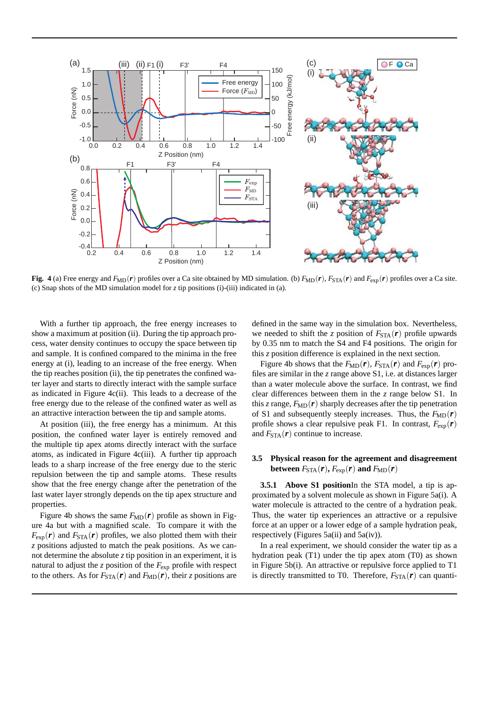

**Fig.** 4 (a) Free energy and  $F_{\text{MD}}(r)$  profiles over a Ca site obtained by MD simulation. (b)  $F_{\text{MD}}(r)$ ,  $F_{\text{STA}}(r)$  and  $F_{\text{exp}}(r)$  profiles over a Ca site. (c) Snap shots of the MD simulation model for *z* tip positions (i)-(iii) indicated in (a).

With a further tip approach, the free energy increases to show a maximum at position (ii). During the tip approach process, water density continues to occupy the space between tip and sample. It is confined compared to the minima in the free energy at (i), leading to an increase of the free energy. When the tip reaches position (ii), the tip penetrates the confined water layer and starts to directly interact with the sample surface as indicated in Figure 4c(ii). This leads to a decrease of the free energy due to the release of the confined water as well as an attractive interaction between the tip and sample atoms.

At position (iii), the free energy has a minimum. At this position, the confined water layer is entirely removed and the multiple tip apex atoms directly interact with the surface atoms, as indicated in Figure 4c(iii). A further tip approach leads to a sharp increase of the free energy due to the steric repulsion between the tip and sample atoms. These results show that the free energy change after the penetration of the last water layer strongly depends on the tip apex structure and properties.

Figure 4b shows the same  $F_{MD}(r)$  profile as shown in Figure 4a but with a magnified scale. To compare it with the  $F_{\text{exp}}(\mathbf{r})$  and  $F_{\text{STA}}(\mathbf{r})$  profiles, we also plotted them with their *z* positions adjusted to match the peak positions. As we cannot determine the absolute *z* tip position in an experiment, it is natural to adjust the *z* position of the  $F_{\text{exp}}$  profile with respect to the others. As for  $F_{\text{STA}}(r)$  and  $F_{\text{MD}}(r)$ , their *z* positions are

defined in the same way in the simulation box. Nevertheless, we needed to shift the *z* position of  $F_{\text{STA}}(r)$  profile upwards by 0.35 nm to match the S4 and F4 positions. The origin for this *z* position difference is explained in the next section.

Figure 4b shows that the  $F_{MD}(r)$ ,  $F_{STA}(r)$  and  $F_{exp}(r)$  profiles are similar in the *z* range above S1, i.e. at distances larger than a water molecule above the surface. In contrast, we find clear differences between them in the *z* range below S1. In this *z* range,  $F_{MD}(r)$  sharply decreases after the tip penetration of S1 and subsequently steeply increases. Thus, the  $F_{MD}(r)$ profile shows a clear repulsive peak F1. In contrast,  $F_{\text{exp}}(\boldsymbol{r})$ and  $F_{\text{STA}}(\boldsymbol{r})$  continue to increase.

## **3.5 Physical reason for the agreement and disagreement between**  $F_{\text{STA}}(\boldsymbol{r})$ ,  $F_{\text{exp}}(\boldsymbol{r})$  and  $F_{\text{MD}}(\boldsymbol{r})$

**3.5.1 Above S1 position**In the STA model, a tip is approximated by a solvent molecule as shown in Figure 5a(i). A water molecule is attracted to the centre of a hydration peak. Thus, the water tip experiences an attractive or a repulsive force at an upper or a lower edge of a sample hydration peak, respectively (Figures 5a(ii) and 5a(iv)).

In a real experiment, we should consider the water tip as a hydration peak (T1) under the tip apex atom (T0) as shown in Figure 5b(i). An attractive or repulsive force applied to T1 is directly transmitted to T0. Therefore,  $F_{\text{STA}}(\boldsymbol{r})$  can quanti-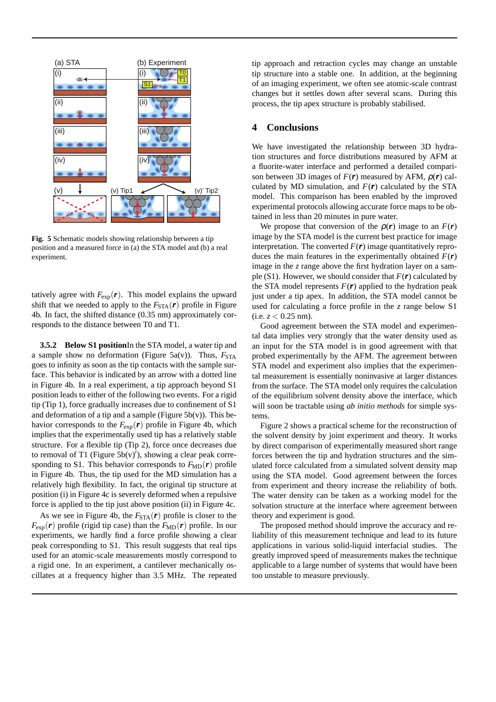

**Fig. 5** Schematic models showing relationship between a tip position and a measured force in (a) the STA model and (b) a real experiment.

tatively agree with  $F_{\text{exp}}(r)$ . This model explains the upward shift that we needed to apply to the  $F_{\text{STA}}(r)$  profile in Figure 4b. In fact, the shifted distance (0.35 nm) approximately corresponds to the distance between T0 and T1.

**3.5.2 Below S1 position**In the STA model, a water tip and a sample show no deformation (Figure 5a(v)). Thus,  $F_{\text{STA}}$ goes to infinity as soon as the tip contacts with the sample surface. This behavior is indicated by an arrow with a dotted line in Figure 4b. In a real experiment, a tip approach beyond S1 position leads to either of the following two events. For a rigid tip (Tip 1), force gradually increases due to confinement of S1 and deformation of a tip and a sample (Figure  $5b(v)$ ). This behavior corresponds to the  $F_{\text{exp}}(r)$  profile in Figure 4b, which implies that the experimentally used tip has a relatively stable structure. For a flexible tip (Tip 2), force once decreases due to removal of T1 (Figure 5b(v)*′* ), showing a clear peak corresponding to S1. This behavior corresponds to  $F_{MD}(r)$  profile in Figure 4b. Thus, the tip used for the MD simulation has a relatively high flexibility. In fact, the original tip structure at position (i) in Figure 4c is severely deformed when a repulsive force is applied to the tip just above position (ii) in Figure 4c.

As we see in Figure 4b, the  $F_{STA}(\boldsymbol{r})$  profile is closer to the  $F_{\text{exp}}(\boldsymbol{r})$  profile (rigid tip case) than the  $F_{\text{MD}}(\boldsymbol{r})$  profile. In our experiments, we hardly find a force profile showing a clear peak corresponding to S1. This result suggests that real tips used for an atomic-scale measurements mostly correspond to a rigid one. In an experiment, a cantilever mechanically oscillates at a frequency higher than 3.5 MHz. The repeated

tip approach and retraction cycles may change an unstable tip structure into a stable one. In addition, at the beginning of an imaging experiment, we often see atomic-scale contrast changes but it settles down after several scans. During this process, the tip apex structure is probably stabilised.

# **4 Conclusions**

We have investigated the relationship between 3D hydration structures and force distributions measured by AFM at a fluorite-water interface and performed a detailed comparison between 3D images of  $F(r)$  measured by AFM,  $\rho(r)$  calculated by MD simulation, and  $F(r)$  calculated by the STA model. This comparison has been enabled by the improved experimental protocols allowing accurate force maps to be obtained in less than 20 minutes in pure water.

We propose that conversion of the  $\rho(r)$  image to an  $F(r)$ image by the STA model is the current best practice for image interpretation. The converted  $F(r)$  image quantitatively reproduces the main features in the experimentally obtained  $F(r)$ image in the *z* range above the first hydration layer on a sample (S1). However, we should consider that  $F(r)$  calculated by the STA model represents  $F(r)$  applied to the hydration peak just under a tip apex. In addition, the STA model cannot be used for calculating a force profile in the *z* range below S1  $(i.e. z < 0.25$  nm).

Good agreement between the STA model and experimental data implies very strongly that the water density used as an input for the STA model is in good agreement with that probed experimentally by the AFM. The agreement between STA model and experiment also implies that the experimental measurement is essentially noninvasive at larger distances from the surface. The STA model only requires the calculation of the equilibrium solvent density above the interface, which will soon be tractable using *ab initio methods* for simple systems.

Figure 2 shows a practical scheme for the reconstruction of the solvent density by joint experiment and theory. It works by direct comparison of experimentally measured short range forces between the tip and hydration structures and the simulated force calculated from a simulated solvent density map using the STA model. Good agreement between the forces from experiment and theory increase the reliability of both. The water density can be taken as a working model for the solvation structure at the interface where agreement between theory and experiment is good.

The proposed method should improve the accuracy and reliability of this measurement technique and lead to its future applications in various solid-liquid interfacial studies. The greatly improved speed of measurements makes the technique applicable to a large number of systems that would have been too unstable to measure previously.